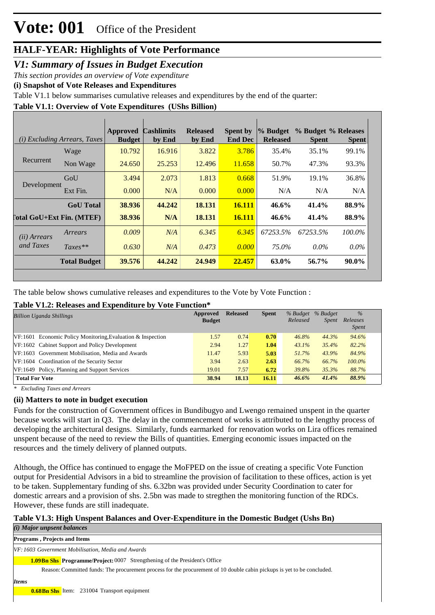### *V1: Summary of Issues in Budget Execution*

*This section provides an overview of Vote expenditure* 

**(i) Snapshot of Vote Releases and Expenditures**

Table V1.1 below summarises cumulative releases and expenditures by the end of the quarter:

**Table V1.1: Overview of Vote Expenditures (UShs Billion)**

|                                  | (i) Excluding Arrears, Taxes | <b>Approved</b><br><b>Budget</b> | <b>Cashlimits</b><br>by End | <b>Released</b><br>by End | <b>Spent by</b><br><b>End Dec</b> | % Budget<br><b>Released</b> | % Budget % Releases<br><b>Spent</b> | <b>Spent</b> |
|----------------------------------|------------------------------|----------------------------------|-----------------------------|---------------------------|-----------------------------------|-----------------------------|-------------------------------------|--------------|
|                                  | Wage                         | 10.792                           | 16.916                      | 3.822                     | 3.786                             | 35.4%                       | 35.1%                               | 99.1%        |
| Recurrent                        | Non Wage                     | 24.650                           | 25.253                      | 12.496                    | 11.658                            | 50.7%                       | 47.3%                               | 93.3%        |
|                                  | GoU                          | 3.494                            | 2.073                       | 1.813                     | 0.668                             | 51.9%                       | 19.1%                               | 36.8%        |
| Development                      | Ext Fin.                     | 0.000                            | N/A                         | 0.000                     | 0.000                             | N/A                         | N/A                                 | N/A          |
|                                  | <b>GoU</b> Total             | 38.936                           | 44.242                      | 18.131                    | <b>16.111</b>                     | 46.6%                       | 41.4%                               | 88.9%        |
| <b>Total GoU+Ext Fin. (MTEF)</b> |                              | 38.936                           | N/A                         | 18.131                    | <b>16.111</b>                     | $46.6\%$                    | 41.4%                               | 88.9%        |
| (ii) Arrears                     | Arrears                      | 0.009                            | N/A                         | 6.345                     | 6.345                             | 67253.5%                    | 67253.5%                            | 100.0%       |
| and Taxes                        | $Taxes**$                    | 0.630                            | N/A                         | 0.473                     | 0.000                             | 75.0%                       | $0.0\%$                             | $0.0\%$      |
|                                  | <b>Total Budget</b>          | 39.576                           | 44.242                      | 24.949                    | 22.457                            | 63.0%                       | 56.7%                               | 90.0%        |

The table below shows cumulative releases and expenditures to the Vote by Vote Function :

#### **Table V1.2: Releases and Expenditure by Vote Function\***

| <b>Billion Uganda Shillings</b>                              | Approved<br><b>Budget</b> | <b>Released</b> | <b>Spent</b> | % Budget<br>Released | % Budget<br>Spent | $\%$<br>Releases<br><i>Spent</i> |
|--------------------------------------------------------------|---------------------------|-----------------|--------------|----------------------|-------------------|----------------------------------|
| $VF:1601$ Economic Policy Monitoring Evaluation & Inspection | 1.57                      | 0.74            | 0.70         | 46.8%                | 44.3%             | 94.6%                            |
| VF:1602 Cabinet Support and Policy Development               | 2.94                      | 1.27            | 1.04         | 43.1%                | 35.4%             | 82.2%                            |
| VF:1603 Government Mobilisation, Media and Awards            | 11.47                     | 5.93            | 5.03         | 51.7%                | 43.9%             | 84.9%                            |
| VF:1604 Coordination of the Security Sector                  | 3.94                      | 2.63            | 2.63         | 66.7%                | 66.7%             | $100.0\%$                        |
| VF:1649 Policy, Planning and Support Services                | 19.01                     | 7.57            | 6.72         | 39.8%                | 35.3%             | 88.7%                            |
| <b>Total For Vote</b>                                        | 38.94                     | 18.13           | 16.11        | 46.6%                | 41.4%             | 88.9%                            |

*\* Excluding Taxes and Arrears*

#### **(ii) Matters to note in budget execution**

Funds for the construction of Government offices in Bundibugyo and Lwengo remained unspent in the quarter because works will start in Q3. The delay in the commencement of works is attributed to the lengthy process of developing the architectural designs. Similarly, funds earmarked for renovation works on Lira offices remained unspent because of the need to review the Bills of quantities. Emerging economic issues impacted on the resources and the timely delivery of planned outputs.

Although, the Office has continued to engage the MoFPED on the issue of creating a specific Vote Function output for Presidential Advisors in a bid to streamline the provision of facilitation to these offices, action is yet to be taken. Supplementary funding of shs. 6.32bn was provided under Security Coordination to cater for domestic arrears and a provision of shs. 2.5bn was made to stregthen the monitoring function of the RDCs. However, these funds are still inadequate.

### **Table V1.3: High Unspent Balances and Over-Expenditure in the Domestic Budget (Ushs Bn)**

*(i) Major unpsent balances*

**1.09Bn Shs** Programme/Project: 0007 Strengthening of the President's Office *VF: 1603 Government Mobilisation, Media and Awards* Reason: Committed funds: The procurement process for the procurement of 10 double cabin pickups is yet to be concluded. **Programs , Projects and Items** *Items* **0.68Bn Shs** Item: 231004 Transport equipment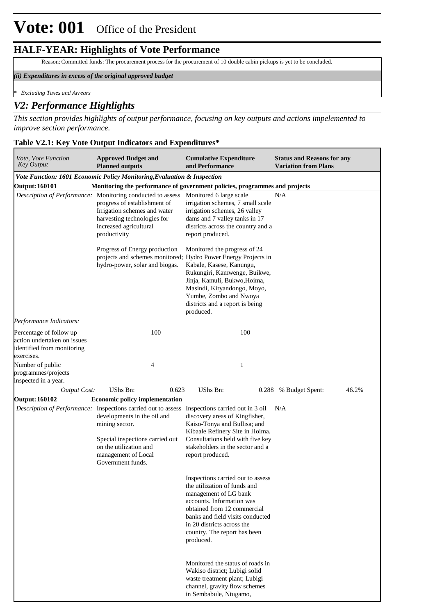Reason:Committed funds: The procurement process for the procurement of 10 double cabin pickups is yet to be concluded.

#### *(ii) Expenditures in excess of the original approved budget*

*\* Excluding Taxes and Arrears*

#### *V2: Performance Highlights*

*This section provides highlights of output performance, focusing on key outputs and actions impelemented to improve section performance.*

#### **Table V2.1: Key Vote Output Indicators and Expenditures\***

| Vote, Vote Function<br><b>Key Output</b>                                                           | <b>Approved Budget and</b><br><b>Planned outputs</b>                                                                                                                                                                        | <b>Cumulative Expenditure</b><br>and Performance                                                                                                                                                                                                                                                    | <b>Status and Reasons for any</b><br><b>Variation from Plans</b> |
|----------------------------------------------------------------------------------------------------|-----------------------------------------------------------------------------------------------------------------------------------------------------------------------------------------------------------------------------|-----------------------------------------------------------------------------------------------------------------------------------------------------------------------------------------------------------------------------------------------------------------------------------------------------|------------------------------------------------------------------|
|                                                                                                    | Vote Function: 1601 Economic Policy Monitoring, Evaluation & Inspection                                                                                                                                                     |                                                                                                                                                                                                                                                                                                     |                                                                  |
| <b>Output: 160101</b>                                                                              | Monitoring the performance of government policies, programmes and projects                                                                                                                                                  |                                                                                                                                                                                                                                                                                                     |                                                                  |
|                                                                                                    | Description of Performance: Monitoring conducted to assess Monitored 6 large scale<br>progress of establishment of<br>Irrigation schemes and water<br>harvesting technologies for<br>increased agricultural<br>productivity | irrigation schemes, 7 small scale<br>irrigation schemes, 26 valley<br>dams and 7 valley tanks in 17<br>districts across the country and a<br>report produced.                                                                                                                                       | N/A                                                              |
|                                                                                                    | Progress of Energy production<br>hydro-power, solar and biogas.                                                                                                                                                             | Monitored the progress of 24<br>projects and schemes monitored; Hydro Power Energy Projects in<br>Kabale, Kasese, Kanungu,<br>Rukungiri, Kamwenge, Buikwe,<br>Jinja, Kamuli, Bukwo, Hoima,<br>Masindi, Kiryandongo, Moyo,<br>Yumbe, Zombo and Nwoya<br>districts and a report is being<br>produced. |                                                                  |
| Performance Indicators:                                                                            |                                                                                                                                                                                                                             |                                                                                                                                                                                                                                                                                                     |                                                                  |
| Percentage of follow up<br>action undertaken on issues<br>identified from monitoring<br>exercises. | 100                                                                                                                                                                                                                         | 100                                                                                                                                                                                                                                                                                                 |                                                                  |
| Number of public<br>programmes/projects<br>inspected in a year.                                    | 4                                                                                                                                                                                                                           | 1                                                                                                                                                                                                                                                                                                   |                                                                  |
| <b>Output Cost:</b>                                                                                | UShs Bn:<br>0.623                                                                                                                                                                                                           | <b>UShs Bn:</b>                                                                                                                                                                                                                                                                                     | 46.2%<br>0.288 % Budget Spent:                                   |
| <b>Output: 160102</b>                                                                              | <b>Economic policy implementation</b>                                                                                                                                                                                       |                                                                                                                                                                                                                                                                                                     |                                                                  |
|                                                                                                    | Description of Performance: Inspections carried out to assess<br>developments in the oil and<br>mining sector.<br>Special inspections carried out<br>on the utilization and<br>management of Local<br>Government funds.     | Inspections carried out in 3 oil<br>discovery areas of Kingfisher,<br>Kaiso-Tonya and Bullisa; and<br>Kibaale Refinery Site in Hoima.<br>Consultations held with five key<br>stakeholders in the sector and a<br>report produced.                                                                   | N/A                                                              |
|                                                                                                    |                                                                                                                                                                                                                             | Inspections carried out to assess<br>the utilization of funds and<br>management of LG bank<br>accounts. Information was<br>obtained from 12 commercial<br>banks and field visits conducted<br>in 20 districts across the<br>country. The report has been<br>produced.                               |                                                                  |
|                                                                                                    |                                                                                                                                                                                                                             | Monitored the status of roads in<br>Wakiso district; Lubigi solid<br>waste treatment plant; Lubigi<br>channel, gravity flow schemes<br>in Sembabule, Ntugamo,                                                                                                                                       |                                                                  |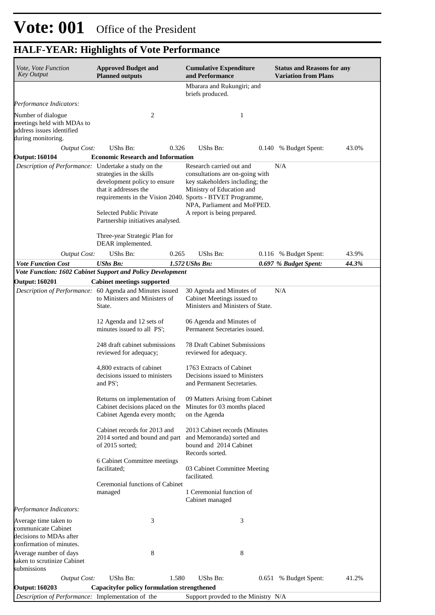| Vote, Vote Function<br><b>Key Output</b>                                                            | <b>Approved Budget and</b><br><b>Planned outputs</b>                                                                                                                                                                   | <b>Cumulative Expenditure</b><br>and Performance                                                                                                                                          | <b>Status and Reasons for any</b><br><b>Variation from Plans</b> |
|-----------------------------------------------------------------------------------------------------|------------------------------------------------------------------------------------------------------------------------------------------------------------------------------------------------------------------------|-------------------------------------------------------------------------------------------------------------------------------------------------------------------------------------------|------------------------------------------------------------------|
|                                                                                                     |                                                                                                                                                                                                                        | Mbarara and Rukungiri; and<br>briefs produced.                                                                                                                                            |                                                                  |
| Performance Indicators:                                                                             |                                                                                                                                                                                                                        |                                                                                                                                                                                           |                                                                  |
| Number of dialogue<br>meetings held with MDAs to<br>address issues identified<br>during monitoring. | 2                                                                                                                                                                                                                      | 1                                                                                                                                                                                         |                                                                  |
| <b>Output Cost:</b>                                                                                 | UShs Bn:<br>0.326                                                                                                                                                                                                      | UShs Bn:                                                                                                                                                                                  | 43.0%<br>0.140 % Budget Spent:                                   |
| <b>Output: 160104</b>                                                                               | <b>Economic Research and Information</b>                                                                                                                                                                               |                                                                                                                                                                                           |                                                                  |
| Description of Performance: Undertake a study on the                                                | strategies in the skills<br>development policy to ensure<br>that it addresses the<br>requirements in the Vision 2040. Sports - BTVET Programme,<br><b>Selected Public Private</b><br>Partnership initiatives analysed. | Research carried out and<br>consultations are on-going with<br>key stakeholders including; the<br>Ministry of Education and<br>NPA, Parliament and MoFPED.<br>A report is being prepared. | N/A                                                              |
|                                                                                                     | Three-year Strategic Plan for<br>DEAR implemented.                                                                                                                                                                     |                                                                                                                                                                                           |                                                                  |
| <b>Output Cost:</b>                                                                                 | UShs Bn:<br>0.265                                                                                                                                                                                                      | UShs Bn:                                                                                                                                                                                  | 43.9%<br>0.116 % Budget Spent:                                   |
| <b>Vote Function Cost</b>                                                                           | <b>UShs Bn:</b>                                                                                                                                                                                                        | 1.572 UShs Bn:                                                                                                                                                                            | 44.3%<br>0.697 % Budget Spent:                                   |
|                                                                                                     | Vote Function: 1602 Cabinet Support and Policy Development                                                                                                                                                             |                                                                                                                                                                                           |                                                                  |
| <b>Output: 160201</b>                                                                               | <b>Cabinet meetings supported</b>                                                                                                                                                                                      |                                                                                                                                                                                           |                                                                  |
|                                                                                                     | Description of Performance: 60 Agenda and Minutes issued<br>to Ministers and Ministers of<br>State.<br>12 Agenda and 12 sets of<br>minutes issued to all PS;                                                           | 30 Agenda and Minutes of<br>Cabinet Meetings issued to<br>Ministers and Ministers of State.<br>06 Agenda and Minutes of<br>Permanent Secretaries issued.                                  | N/A                                                              |
|                                                                                                     | 248 draft cabinet submissions<br>reviewed for adequacy;                                                                                                                                                                | <b>78 Draft Cabinet Submissions</b><br>reviewed for adequacy.                                                                                                                             |                                                                  |
|                                                                                                     | 4,800 extracts of cabinet<br>decisions issued to ministers<br>and PS':                                                                                                                                                 | 1763 Extracts of Cabinet<br>Decisions issued to Ministers<br>and Permanent Secretaries.                                                                                                   |                                                                  |
|                                                                                                     | Returns on implementation of<br>Cabinet decisions placed on the<br>Cabinet Agenda every month;                                                                                                                         | 09 Matters Arising from Cabinet<br>Minutes for 03 months placed<br>on the Agenda                                                                                                          |                                                                  |
|                                                                                                     | Cabinet records for 2013 and<br>2014 sorted and bound and part<br>of $2015$ sorted;                                                                                                                                    | 2013 Cabinet records (Minutes<br>and Memoranda) sorted and<br>bound and 2014 Cabinet<br>Records sorted.                                                                                   |                                                                  |
|                                                                                                     | 6 Cabinet Committee meetings<br>facilitated;                                                                                                                                                                           | 03 Cabinet Committee Meeting<br>facilitated.                                                                                                                                              |                                                                  |
|                                                                                                     | Ceremonial functions of Cabinet<br>managed                                                                                                                                                                             | 1 Ceremonial function of<br>Cabinet managed                                                                                                                                               |                                                                  |
| Performance Indicators:                                                                             |                                                                                                                                                                                                                        |                                                                                                                                                                                           |                                                                  |
| Average time taken to<br>communicate Cabinet<br>decisions to MDAs after<br>confirmation of minutes. | 3                                                                                                                                                                                                                      | 3                                                                                                                                                                                         |                                                                  |
| Average number of days<br>taken to scrutinize Cabinet<br>submissions                                | 8                                                                                                                                                                                                                      | 8                                                                                                                                                                                         |                                                                  |
| <b>Output Cost:</b>                                                                                 | UShs Bn:<br>1.580                                                                                                                                                                                                      | UShs Bn:                                                                                                                                                                                  | 0.651 % Budget Spent:<br>41.2%                                   |
| Output: 160203                                                                                      | <b>Capacityfor policy formulation strengthened</b>                                                                                                                                                                     |                                                                                                                                                                                           |                                                                  |
| Description of Performance: Implementation of the                                                   |                                                                                                                                                                                                                        | Support provded to the Ministry N/A                                                                                                                                                       |                                                                  |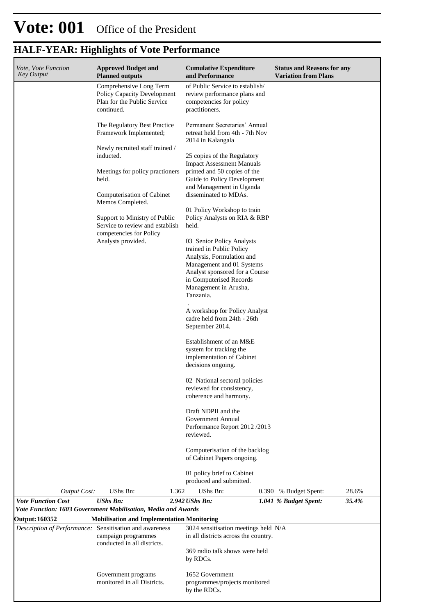| Vote, Vote Function<br><b>Key Output</b>                | <b>Approved Budget and</b><br><b>Planned outputs</b>                                                | <b>Cumulative Expenditure</b><br>and Performance                                                                | <b>Status and Reasons for any</b><br><b>Variation from Plans</b> |  |  |  |  |
|---------------------------------------------------------|-----------------------------------------------------------------------------------------------------|-----------------------------------------------------------------------------------------------------------------|------------------------------------------------------------------|--|--|--|--|
|                                                         | Comprehensive Long Term<br>Policy Capacity Development<br>Plan for the Public Service<br>continued. | of Public Service to establish/<br>review performance plans and<br>competencies for policy<br>practitioners.    |                                                                  |  |  |  |  |
|                                                         | The Regulatory Best Practice<br>Framework Implemented;                                              | Permanent Secretaries' Annual<br>retreat held from 4th - 7th Nov<br>2014 in Kalangala                           |                                                                  |  |  |  |  |
|                                                         | Newly recruited staff trained /<br>inducted.                                                        | 25 copies of the Regulatory<br><b>Impact Assessment Manuals</b>                                                 |                                                                  |  |  |  |  |
|                                                         | Meetings for policy practioners<br>held.                                                            | printed and 50 copies of the<br>Guide to Policy Development<br>and Management in Uganda                         |                                                                  |  |  |  |  |
|                                                         | Computerisation of Cabinet<br>Memos Completed.                                                      | disseminated to MDAs.                                                                                           |                                                                  |  |  |  |  |
|                                                         | Support to Ministry of Public<br>Service to review and establish<br>competencies for Policy         | 01 Policy Workshop to train<br>Policy Analysts on RIA & RBP<br>held.                                            |                                                                  |  |  |  |  |
|                                                         | Analysts provided.                                                                                  | 03 Senior Policy Analysts<br>trained in Public Policy<br>Analysis, Formulation and                              |                                                                  |  |  |  |  |
|                                                         |                                                                                                     | Management and 01 Systems<br>Analyst sponsored for a Course<br>in Computerised Records<br>Management in Arusha, |                                                                  |  |  |  |  |
|                                                         |                                                                                                     | Tanzania.<br>A workshop for Policy Analyst                                                                      |                                                                  |  |  |  |  |
|                                                         |                                                                                                     | cadre held from 24th - 26th<br>September 2014.                                                                  |                                                                  |  |  |  |  |
|                                                         |                                                                                                     | Establishment of an M&E<br>system for tracking the<br>implementation of Cabinet<br>decisions ongoing.           |                                                                  |  |  |  |  |
|                                                         |                                                                                                     | 02 National sectoral policies<br>reviewed for consistency,<br>coherence and harmony.                            |                                                                  |  |  |  |  |
|                                                         |                                                                                                     | Draft NDPII and the<br>Government Annual<br>Performance Report 2012/2013<br>reviewed.                           |                                                                  |  |  |  |  |
|                                                         |                                                                                                     | Computerisation of the backlog<br>of Cabinet Papers ongoing.                                                    |                                                                  |  |  |  |  |
|                                                         |                                                                                                     | 01 policy brief to Cabinet<br>produced and submitted.                                                           |                                                                  |  |  |  |  |
| <b>Output Cost:</b>                                     | UShs Bn:                                                                                            | UShs Bn:<br>1.362                                                                                               | 28.6%<br>0.390 % Budget Spent:                                   |  |  |  |  |
| <b>Vote Function Cost</b>                               | <b>UShs Bn:</b><br>Vote Function: 1603 Government Mobilisation, Media and Awards                    | 2.942 UShs Bn:                                                                                                  | 35.4%<br>1.041 % Budget Spent:                                   |  |  |  |  |
| <b>Output: 160352</b>                                   | <b>Mobilisation and Implementation Monitoring</b>                                                   |                                                                                                                 |                                                                  |  |  |  |  |
| Description of Performance: Sensitisation and awareness | campaign programmes<br>conducted in all districts.                                                  | 3024 sensitisation meetings held N/A<br>in all districts across the country.                                    |                                                                  |  |  |  |  |
|                                                         |                                                                                                     | 369 radio talk shows were held<br>by RDCs.                                                                      |                                                                  |  |  |  |  |
|                                                         | Government programs<br>monitored in all Districts.                                                  | 1652 Government<br>programmes/projects monitored<br>by the RDCs.                                                |                                                                  |  |  |  |  |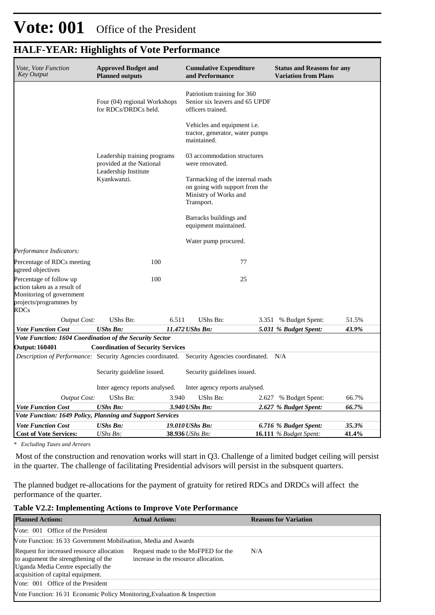| Vote, Vote Function<br>Key Output                                                                                           | <b>Approved Budget and</b><br><b>Planned outputs</b>                                            |       | <b>Cumulative Expenditure</b><br>and Performance                                                          |    | <b>Status and Reasons for any</b><br><b>Variation from Plans</b> |       |
|-----------------------------------------------------------------------------------------------------------------------------|-------------------------------------------------------------------------------------------------|-------|-----------------------------------------------------------------------------------------------------------|----|------------------------------------------------------------------|-------|
|                                                                                                                             | Four (04) regional Workshops<br>for RDCs/DRDCs held.                                            |       | Patriotism training for 360<br>Senior six leavers and 65 UPDF<br>officers trained.                        |    |                                                                  |       |
|                                                                                                                             |                                                                                                 |       | Vehicles and equipment <i>i.e.</i><br>tractor, generator, water pumps<br>maintained.                      |    |                                                                  |       |
|                                                                                                                             | Leadership training programs<br>provided at the National<br>Leadership Institute<br>Kyankwanzi. |       | 03 accommodation structures<br>were renovated.                                                            |    |                                                                  |       |
|                                                                                                                             |                                                                                                 |       | Tarmacking of the internal roads<br>on going with support from the<br>Ministry of Works and<br>Transport. |    |                                                                  |       |
|                                                                                                                             |                                                                                                 |       | Barracks buildings and<br>equipment maintained.                                                           |    |                                                                  |       |
|                                                                                                                             |                                                                                                 |       | Water pump procured.                                                                                      |    |                                                                  |       |
| Performance Indicators:                                                                                                     |                                                                                                 |       |                                                                                                           |    |                                                                  |       |
| Percentage of RDCs meeting<br>agreed objectives                                                                             | 100                                                                                             |       |                                                                                                           | 77 |                                                                  |       |
| Percentage of follow up<br>action taken as a result of<br>Monitoring of government<br>projects/programmes by<br><b>RDCs</b> | 100                                                                                             |       |                                                                                                           | 25 |                                                                  |       |
| <b>Output Cost:</b>                                                                                                         | UShs Bn:                                                                                        | 6.511 | UShs Bn:                                                                                                  |    | 3.351 % Budget Spent:                                            | 51.5% |
| <b>Vote Function Cost</b>                                                                                                   | <b>UShs Bn:</b>                                                                                 |       | 11.472 UShs Bn:                                                                                           |    | 5.031 % Budget Spent:                                            | 43.9% |
| Vote Function: 1604 Coordination of the Security Sector                                                                     |                                                                                                 |       |                                                                                                           |    |                                                                  |       |
| <b>Output: 160401</b>                                                                                                       | <b>Coordination of Security Services</b>                                                        |       |                                                                                                           |    |                                                                  |       |
| <i>Description of Performance:</i> Security Agencies coordinated.                                                           |                                                                                                 |       | Security Agencies coordinated. N/A                                                                        |    |                                                                  |       |
|                                                                                                                             | Security guideline issued.                                                                      |       | Security guidelines issued.                                                                               |    |                                                                  |       |
|                                                                                                                             | Inter agency reports analysed.                                                                  |       | Inter agency reports analysed.                                                                            |    |                                                                  |       |
| <b>Output Cost:</b>                                                                                                         | UShs Bn:                                                                                        | 3.940 | UShs Bn:                                                                                                  |    | 2.627 % Budget Spent:                                            | 66.7% |
| <b>Vote Function Cost</b>                                                                                                   | <b>UShs Bn:</b>                                                                                 |       | 3.940 UShs Bn:                                                                                            |    | 2.627 % Budget Spent:                                            | 66.7% |
| Vote Function: 1649 Policy, Planning and Support Services                                                                   |                                                                                                 |       |                                                                                                           |    |                                                                  |       |
| <b>Vote Function Cost</b>                                                                                                   | <b>UShs Bn:</b>                                                                                 |       | 19.010 UShs Bn:                                                                                           |    | 6.716 % Budget Spent:                                            | 35.3% |
| <b>Cost of Vote Services:</b>                                                                                               | UShs Bn:                                                                                        |       | 38.936 UShs Bn:                                                                                           |    | <b>16.111</b> % Budget Spent:                                    | 41.4% |

*\* Excluding Taxes and Arrears*

 Most of the construction and renovation works will start in Q3. Challenge of a limited budget ceiling will persist in the quarter. The challenge of facilitating Presidential advisors will persist in the subsquent quarters.

The planned budget re-allocations for the payment of gratuity for retired RDCs and DRDCs will affect the performance of the quarter.

#### **Table V2.2: Implementing Actions to Improve Vote Performance**

| <b>Planned Actions:</b>                                                                                                                                      | <b>Actual Actions:</b>                                                     | <b>Reasons for Variation</b> |  |  |  |  |  |  |
|--------------------------------------------------------------------------------------------------------------------------------------------------------------|----------------------------------------------------------------------------|------------------------------|--|--|--|--|--|--|
| Vote: 001 Office of the President                                                                                                                            |                                                                            |                              |  |  |  |  |  |  |
|                                                                                                                                                              | Vote Function: 16 03 Government Mobilisation, Media and Awards             |                              |  |  |  |  |  |  |
| Request for increased resource allocation<br>to augument the strengthening of the<br>Uganda Media Centre especially the<br>acquisition of capital equipment. | Request made to the MoFPED for the<br>increase in the resource allocation. | N/A                          |  |  |  |  |  |  |
| Vote: 001 Office of the President                                                                                                                            |                                                                            |                              |  |  |  |  |  |  |
| Vote Function: 16 01 Economic Policy Monitoring, Evaluation & Inspection                                                                                     |                                                                            |                              |  |  |  |  |  |  |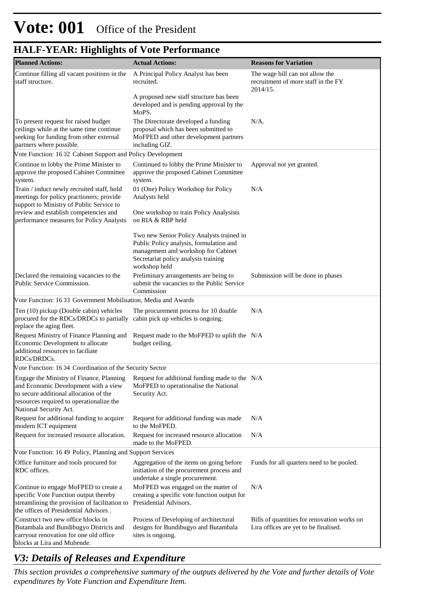| <b>Planned Actions:</b>                                                                                                                                                                    | <b>Actual Actions:</b>                                                                                                                                                               | <b>Reasons for Variation</b>                                                         |
|--------------------------------------------------------------------------------------------------------------------------------------------------------------------------------------------|--------------------------------------------------------------------------------------------------------------------------------------------------------------------------------------|--------------------------------------------------------------------------------------|
| Continue filling all vacant positions in the<br>staff structure.                                                                                                                           | A Principal Policy Analyst has been<br>recruited.                                                                                                                                    | The wage bill can not allow the<br>recruitment of more staff in the FY<br>2014/15.   |
|                                                                                                                                                                                            | A proposed new staff structure has been<br>developed and is pending approval by the<br>MoPS.                                                                                         |                                                                                      |
| To present request for raised budget<br>ceilings while at the same time continue<br>seeking for funding from other external<br>partners where possible.                                    | The Directorate developed a funding<br>proposal which has been submitted to<br>MoFPED and other development partners<br>including GIZ.                                               | $N/A$ .                                                                              |
| Vote Function: 16 02 Cabinet Support and Policy Development                                                                                                                                |                                                                                                                                                                                      |                                                                                      |
| Continue to lobby the Prime Minister to<br>approve the proposed Cabinet Committee<br>system.                                                                                               | Continued to lobby the Prime Minister to<br>approve the proposed Cabinet Committee<br>system.                                                                                        | Approval not yet granted.                                                            |
| Train / induct newly recruited staff, hold<br>meetings for policy practioners; provide<br>support to Ministry of Public Service to                                                         | 01 (One) Policy Workshop for Policy<br>Analysts held                                                                                                                                 | N/A                                                                                  |
| review and establish competencies and<br>performance measures for Policy Analysts                                                                                                          | One workshop to train Policy Analysists<br>on RIA & RBP held                                                                                                                         |                                                                                      |
|                                                                                                                                                                                            | Two new Senior Policy Analysts trained in<br>Public Policy analysis, formulation and<br>management and workshop for Cabinet<br>Secretariat policy analysis training<br>workshop held |                                                                                      |
| Declared the remaining vacancies to the<br>Public Service Commission.                                                                                                                      | Preliminary arrangements are being to<br>submit the vacancies to the Public Service<br>Commission                                                                                    | Submission will be done in phases                                                    |
| Vote Function: 16 03 Government Mobilisation, Media and Awards                                                                                                                             |                                                                                                                                                                                      |                                                                                      |
| Ten (10) pickup (Double cabin) vehicles<br>procured for the RDCs/DRDCs to partially<br>replace the aging fleet.                                                                            | The procurement process for 10 double<br>cabin pick up vehicles is ongoing.                                                                                                          | N/A                                                                                  |
| Request Ministry of Finance Planning and<br>Economic Development to allocate<br>additional resources to faciliate<br>RDCs/DRDCs.                                                           | Request made to the MoFPED to uplift the N/A<br>budget ceiling.                                                                                                                      |                                                                                      |
| Vote Function: 16 04 Coordination of the Security Sector                                                                                                                                   |                                                                                                                                                                                      |                                                                                      |
| and Economic Development with a view MoFPED to operationalise the National<br>to secure additional allocation of the<br>resources required to operationalize the<br>National Security Act. | Engage the Ministry of Finance, Planning Request for additional funding made to the N/A<br>Security Act.                                                                             |                                                                                      |
| Request for additional funding to acquire<br>modern ICT equipment                                                                                                                          | Request for additional funding was made<br>to the MoFPED.                                                                                                                            | N/A                                                                                  |
| Request for increased resource allocation.                                                                                                                                                 | Request for increased resource allocation<br>made to the MoFPED.                                                                                                                     | N/A                                                                                  |
| Vote Function: 16 49 Policy, Planning and Support Services                                                                                                                                 |                                                                                                                                                                                      |                                                                                      |
| Office furniture and tools procured for<br>RDC offices.                                                                                                                                    | Aggregation of the items on going before<br>initiation of the procurement process and<br>undertake a single procurement.                                                             | Funds for all quarters need to be pooled.                                            |
| Continue to engage MoFPED to create a<br>specific Vote Function output thereby<br>streamlining the provision of facilitation to<br>the offices of Presidential Advisors.                   | MoFPED was engaged on the matter of<br>creating a specific vote function output for<br>Presidential Advisors.                                                                        | N/A                                                                                  |
| Construct two new office blocks in<br>Butambala and Bundibugyo Districts and<br>carryout renovation for one old office<br>blocks at Lira and Mubende.                                      | Process of Developing of architectural<br>designs for Bundibugyo and Butambala<br>sites is ongoing.                                                                                  | Bills of quantities for renovation works on<br>Lira offices are yet to be finalised. |

## *V3: Details of Releases and Expenditure*

*This section provides a comprehensive summary of the outputs delivered by the Vote and further details of Vote expenditures by Vote Function and Expenditure Item.*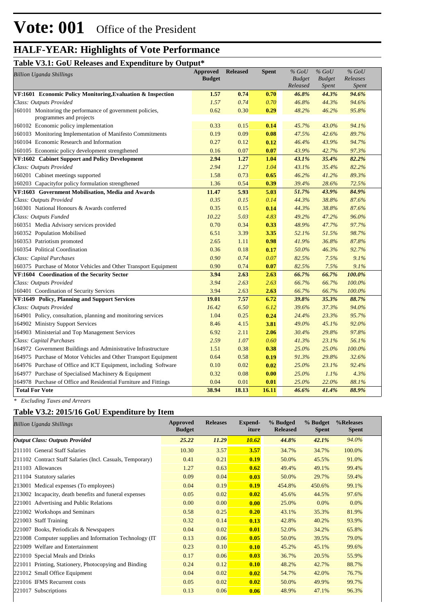#### **Table V3.1: GoU Releases and Expenditure by Output\***

| Tuble <i>volve</i> over Increases and Ea<br>$_{\rm{v}}$ , $_{\rm{v}}$                | <b>Approved</b> | <b>Released</b> | <b>Spent</b> | $%$ GoU       | $%$ GoU       | $%$ GoU  |  |
|--------------------------------------------------------------------------------------|-----------------|-----------------|--------------|---------------|---------------|----------|--|
| <b>Billion Uganda Shillings</b>                                                      | <b>Budget</b>   |                 |              | <b>Budget</b> | <b>Budget</b> | Releases |  |
|                                                                                      |                 |                 |              | Released      | <b>Spent</b>  | Spent    |  |
| VF:1601 Economic Policy Monitoring, Evaluation & Inspection                          | 1.57            | 0.74            | 0.70         | 46.8%         | 44.3%         | 94.6%    |  |
| Class: Outputs Provided                                                              | 1.57            | 0.74            | 0.70         | 46.8%         | 44.3%         | 94.6%    |  |
| 160101 Monitoring the performance of government policies,<br>programmes and projects | 0.62            | 0.30            | 0.29         | 48.2%         | 46.2%         | 95.8%    |  |
| 160102 Economic policy implementation                                                | 0.33            | 0.15            | 0.14         | 45.7%         | 43.0%         | 94.1%    |  |
| 160103 Monitoring Implementation of Manifesto Commitments                            | 0.19            | 0.09            | 0.08         | 47.5%         | 42.6%         | 89.7%    |  |
| 160104 Economic Research and Information                                             | 0.27            | 0.12            | 0.12         | 46.4%         | 43.9%         | 94.7%    |  |
| 160105 Economic policy development strengthened                                      | 0.16            | 0.07            | 0.07         | 43.9%         | 42.7%         | 97.3%    |  |
| VF:1602 Cabinet Support and Policy Development                                       | 2.94            | 1.27            | 1.04         | 43.1%         | 35.4%         | 82.2%    |  |
| Class: Outputs Provided                                                              | 2.94            | 1.27            | 1.04         | 43.1%         | 35.4%         | 82.2%    |  |
| 160201 Cabinet meetings supported                                                    | 1.58            | 0.73            | 0.65         | 46.2%         | 41.2%         | 89.3%    |  |
| 160203 Capacityfor policy formulation strengthened                                   | 1.36            | 0.54            | 0.39         | 39.4%         | 28.6%         | 72.5%    |  |
| VF:1603 Government Mobilisation, Media and Awards                                    | 11.47           | 5.93            | 5.03         | 51.7%         | 43.9%         | 84.9%    |  |
| Class: Outputs Provided                                                              | 0.35            | 0.15            | 0.14         | 44.3%         | 38.8%         | 87.6%    |  |
| 160301 National Honours & Awards conferred                                           | 0.35            | 0.15            | 0.14         | 44.3%         | 38.8%         | 87.6%    |  |
| Class: Outputs Funded                                                                | 10.22           | 5.03            | 4.83         | 49.2%         | 47.2%         | 96.0%    |  |
| 160351 Media Advisory services provided                                              | 0.70            | 0.34            | 0.33         | 48.9%         | 47.7%         | 97.7%    |  |
| 160352 Population Mobilised                                                          | 6.51            | 3.39            | 3.35         | 52.1%         | 51.5%         | 98.7%    |  |
| 160353 Patriotism promoted                                                           | 2.65            | 1.11            | 0.98         | 41.9%         | 36.8%         | 87.8%    |  |
| 160354 Political Coordination                                                        | 0.36            | 0.18            | 0.17         | 50.0%         | 46.3%         | 92.7%    |  |
| Class: Capital Purchases                                                             | 0.90            | 0.74            | 0.07         | 82.5%         | 7.5%          | 9.1%     |  |
| 160375 Purchase of Motor Vehicles and Other Transport Equipment                      | 0.90            | 0.74            | 0.07         | 82.5%         | 7.5%          | 9.1%     |  |
| VF:1604 Coordination of the Security Sector                                          | 3.94            | 2.63            | 2.63         | 66.7%         | 66.7%         | 100.0%   |  |
| Class: Outputs Provided                                                              | 3.94            | 2.63            | 2.63         | 66.7%         | 66.7%         | 100.0%   |  |
| 160401 Coordination of Security Services                                             | 3.94            | 2.63            | 2.63         | 66.7%         | 66.7%         | 100.0%   |  |
| VF:1649 Policy, Planning and Support Services                                        | 19.01           | 7.57            | 6.72         | 39.8%         | 35.3%         | 88.7%    |  |
| Class: Outputs Provided                                                              | 16.42           | 6.50            | 6.12         | 39.6%         | 37.3%         | 94.0%    |  |
| 164901 Policy, consultation, planning and monitoring services                        | 1.04            | 0.25            | 0.24         | 24.4%         | 23.3%         | 95.7%    |  |
| 164902 Ministry Support Services                                                     | 8.46            | 4.15            | 3.81         | 49.0%         | 45.1%         | 92.0%    |  |
| 164903 Ministerial and Top Management Services                                       | 6.92            | 2.11            | 2.06         | 30.4%         | 29.8%         | 97.8%    |  |
| Class: Capital Purchases                                                             | 2.59            | 1.07            | 0.60         | 41.3%         | 23.1%         | 56.1%    |  |
| 164972 Government Buildings and Administrative Infrastructure                        | 1.51            | 0.38            | 0.38         | 25.0%         | 25.0%         | 100.0%   |  |
| 164975 Purchase of Motor Vehicles and Other Transport Equipment                      | 0.64            | 0.58            | 0.19         | 91.3%         | 29.8%         | 32.6%    |  |
| 164976 Purchase of Office and ICT Equipment, including Software                      | 0.10            | 0.02            | 0.02         | 25.0%         | 23.1%         | 92.4%    |  |
| 164977 Purchase of Specialised Machinery & Equipment                                 | 0.32            | 0.08            | 0.00         | 25.0%         | 1.1%          | 4.3%     |  |
| 164978 Purchase of Office and Residential Furniture and Fittings                     | 0.04            | 0.01            | 0.01         | 25.0%         | 22.0%         | 88.1%    |  |
| <b>Total For Vote</b>                                                                | 38.94           | 18.13           | 16.11        | 46.6%         | 41.4%         | 88.9%    |  |

*\* Excluding Taxes and Arrears*

#### **Table V3.2: 2015/16 GoU Expenditure by Item**

| <b>Billion Uganda Shillings</b>                           | Approved<br><b>Budget</b> | <b>Releases</b> | <b>Expend-</b><br>iture | % Budged<br><b>Released</b> | % Budget<br><b>Spent</b> | %Releases<br><b>Spent</b> |
|-----------------------------------------------------------|---------------------------|-----------------|-------------------------|-----------------------------|--------------------------|---------------------------|
| <b>Output Class: Outputs Provided</b>                     | 25.22                     | 11.29           | 10.62                   | 44.8%                       | 42.1%                    | 94.0%                     |
| 211101 General Staff Salaries                             | 10.30                     | 3.57            | 3.57                    | 34.7%                       | 34.7%                    | 100.0%                    |
| 211102 Contract Staff Salaries (Incl. Casuals, Temporary) | 0.41                      | 0.21            | 0.19                    | 50.0%                       | 45.5%                    | 91.0%                     |
| 211103 Allowances                                         | 1.27                      | 0.63            | 0.62                    | 49.4%                       | 49.1%                    | 99.4%                     |
| 211104 Statutory salaries                                 | 0.09                      | 0.04            | 0.03                    | 50.0%                       | 29.7%                    | 59.4%                     |
| 213001 Medical expenses (To employees)                    | 0.04                      | 0.19            | 0.19                    | 454.8%                      | 450.6%                   | 99.1%                     |
| 213002 Incapacity, death benefits and funeral expenses    | 0.05                      | 0.02            | 0.02                    | 45.6%                       | 44.5%                    | 97.6%                     |
| 221001 Advertising and Public Relations                   | 0.00                      | 0.00            | 0.00                    | 25.0%                       | 0.0%                     | 0.0%                      |
| 221002 Workshops and Seminars                             | 0.58                      | 0.25            | 0.20                    | 43.1%                       | 35.3%                    | 81.9%                     |
| 221003 Staff Training                                     | 0.32                      | 0.14            | 0.13                    | 42.8%                       | 40.2%                    | 93.9%                     |
| 221007 Books, Periodicals & Newspapers                    | 0.04                      | 0.02            | 0.01                    | 52.0%                       | 34.2%                    | 65.8%                     |
| 221008 Computer supplies and Information Technology (IT)  | 0.13                      | 0.06            | 0.05                    | 50.0%                       | 39.5%                    | 79.0%                     |
| 221009 Welfare and Entertainment                          | 0.23                      | 0.10            | 0.10                    | 45.2%                       | 45.1%                    | 99.6%                     |
| 221010 Special Meals and Drinks                           | 0.17                      | 0.06            | 0.03                    | 36.7%                       | 20.5%                    | 55.9%                     |
| 221011 Printing, Stationery, Photocopying and Binding     | 0.24                      | 0.12            | 0.10                    | 48.2%                       | 42.7%                    | 88.7%                     |
| 221012 Small Office Equipment                             | 0.04                      | 0.02            | 0.02                    | 54.7%                       | 42.0%                    | 76.7%                     |
| 221016 IFMS Recurrent costs                               | 0.05                      | 0.02            | 0.02                    | 50.0%                       | 49.9%                    | 99.7%                     |
| Subscriptions<br>221017                                   | 0.13                      | 0.06            | 0.06                    | 48.9%                       | 47.1%                    | 96.3%                     |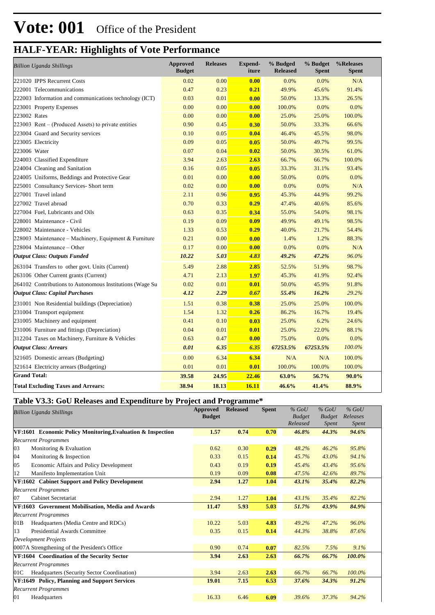| <b>Billion Uganda Shillings</b>                          | <b>Approved</b><br><b>Budget</b> | <b>Releases</b> | <b>Expend-</b><br>iture | % Budged<br><b>Released</b> | % Budget<br><b>Spent</b> | %Releases<br><b>Spent</b> |
|----------------------------------------------------------|----------------------------------|-----------------|-------------------------|-----------------------------|--------------------------|---------------------------|
| 221020 IPPS Recurrent Costs                              | 0.02                             | 0.00            | 0.00                    | 0.0%                        | 0.0%                     | N/A                       |
| 222001 Telecommunications                                | 0.47                             | 0.23            | 0.21                    | 49.9%                       | 45.6%                    | 91.4%                     |
| 222003 Information and communications technology (ICT)   | 0.03                             | 0.01            | 0.00                    | 50.0%                       | 13.3%                    | 26.5%                     |
| 223001 Property Expenses                                 | 0.00                             | 0.00            | 0.00                    | 100.0%                      | 0.0%                     | 0.0%                      |
| 223002 Rates                                             | 0.00                             | 0.00            | 0.00                    | 25.0%                       | 25.0%                    | 100.0%                    |
| 223003 Rent – (Produced Assets) to private entities      | 0.90                             | 0.45            | 0.30                    | 50.0%                       | 33.3%                    | 66.6%                     |
| 223004 Guard and Security services                       | 0.10                             | 0.05            | 0.04                    | 46.4%                       | 45.5%                    | 98.0%                     |
| 223005 Electricity                                       | 0.09                             | 0.05            | 0.05                    | 50.0%                       | 49.7%                    | 99.5%                     |
| 223006 Water                                             | 0.07                             | 0.04            | 0.02                    | 50.0%                       | 30.5%                    | 61.0%                     |
| 224003 Classified Expenditure                            | 3.94                             | 2.63            | 2.63                    | 66.7%                       | 66.7%                    | 100.0%                    |
| 224004 Cleaning and Sanitation                           | 0.16                             | 0.05            | 0.05                    | 33.3%                       | 31.1%                    | 93.4%                     |
| 224005 Uniforms, Beddings and Protective Gear            | 0.01                             | 0.00            | 0.00                    | 50.0%                       | 0.0%                     | 0.0%                      |
| 225001 Consultancy Services- Short term                  | 0.02                             | 0.00            | 0.00                    | 0.0%                        | 0.0%                     | N/A                       |
| 227001 Travel inland                                     | 2.11                             | 0.96            | 0.95                    | 45.3%                       | 44.9%                    | 99.2%                     |
| 227002 Travel abroad                                     | 0.70                             | 0.33            | 0.29                    | 47.4%                       | 40.6%                    | 85.6%                     |
| 227004 Fuel, Lubricants and Oils                         | 0.63                             | 0.35            | 0.34                    | 55.0%                       | 54.0%                    | 98.1%                     |
| 228001 Maintenance - Civil                               | 0.19                             | 0.09            | 0.09                    | 49.9%                       | 49.1%                    | 98.5%                     |
| 228002 Maintenance - Vehicles                            | 1.33                             | 0.53            | 0.29                    | 40.0%                       | 21.7%                    | 54.4%                     |
| 228003 Maintenance - Machinery, Equipment & Furniture    | 0.21                             | 0.00            | 0.00                    | 1.4%                        | 1.2%                     | 88.3%                     |
| 228004 Maintenance - Other                               | 0.17                             | 0.00            | 0.00                    | 0.0%                        | 0.0%                     | N/A                       |
| <b>Output Class: Outputs Funded</b>                      | 10.22                            | 5.03            | 4.83                    | 49.2%                       | 47.2%                    | 96.0%                     |
| 263104 Transfers to other govt. Units (Current)          | 5.49                             | 2.88            | 2.85                    | 52.5%                       | 51.9%                    | 98.7%                     |
| 263106 Other Current grants (Current)                    | 4.71                             | 2.13            | 1.97                    | 45.3%                       | 41.9%                    | 92.4%                     |
| 264102 Contributions to Autonomous Institutions (Wage Su | 0.02                             | 0.01            | 0.01                    | 50.0%                       | 45.9%                    | 91.8%                     |
| <b>Output Class: Capital Purchases</b>                   | 4.12                             | 2.29            | 0.67                    | 55.4%                       | 16.2%                    | 29.2%                     |
| 231001 Non Residential buildings (Depreciation)          | 1.51                             | 0.38            | 0.38                    | 25.0%                       | 25.0%                    | 100.0%                    |
| 231004 Transport equipment                               | 1.54                             | 1.32            | 0.26                    | 86.2%                       | 16.7%                    | 19.4%                     |
| 231005 Machinery and equipment                           | 0.41                             | 0.10            | 0.03                    | 25.0%                       | 6.2%                     | 24.6%                     |
| 231006 Furniture and fittings (Depreciation)             | 0.04                             | 0.01            | 0.01                    | 25.0%                       | 22.0%                    | 88.1%                     |
| 312204 Taxes on Machinery, Furniture & Vehicles          | 0.63                             | 0.47            | 0.00                    | 75.0%                       | 0.0%                     | 0.0%                      |
| <b>Output Class: Arrears</b>                             | 0.01                             | 6.35            | 6.35                    | 67253.5%                    | 67253.5%                 | 100.0%                    |
| 321605 Domestic arrears (Budgeting)                      | 0.00                             | 6.34            | 6.34                    | N/A                         | N/A                      | 100.0%                    |
| 321614 Electricity arrears (Budgeting)                   | 0.01                             | 0.01            | 0.01                    | 100.0%                      | 100.0%                   | 100.0%                    |
| <b>Grand Total:</b>                                      | 39.58                            | 24.95           | 22.46                   | 63.0%                       | 56.7%                    | 90.0%                     |
| <b>Total Excluding Taxes and Arrears:</b>                | 38.94                            | 18.13           | 16.11                   | 46.6%                       | 41.4%                    | 88.9%                     |

#### **Table V3.3: GoU Releases and Expenditure by Project and Programme\***

| Approved<br><b>Billion Uganda Shillings</b>                 |               | <b>Released</b> | <b>Spent</b> | $%$ GoU       | $%$ GoU       | $%$ GoU  |  |
|-------------------------------------------------------------|---------------|-----------------|--------------|---------------|---------------|----------|--|
|                                                             | <b>Budget</b> |                 |              | <b>Budget</b> | <b>Budget</b> | Releases |  |
|                                                             |               |                 |              | Released      | Spent         | Spent    |  |
| VF:1601 Economic Policy Monitoring, Evaluation & Inspection | 1.57          | 0.74            | 0.70         | 46.8%         | 44.3%         | 94.6%    |  |
| <b>Recurrent Programmes</b>                                 |               |                 |              |               |               |          |  |
| 03<br>Monitoring & Evaluation                               | 0.62          | 0.30            | 0.29         | 48.2%         | 46.2%         | 95.8%    |  |
| 04<br>Monitoring & Inspection                               | 0.33          | 0.15            | 0.14         | 45.7%         | 43.0%         | 94.1%    |  |
| 05<br>Economic Affairs and Policy Development               | 0.43          | 0.19            | 0.19         | 45.4%         | 43.4%         | 95.6%    |  |
| 12<br>Manifesto Implementation Unit                         | 0.19          | 0.09            | 0.08         | 47.5%         | 42.6%         | 89.7%    |  |
| VF:1602 Cabinet Support and Policy Development              | 2.94          | 1.27            | 1.04         | 43.1%         | 35.4%         | 82.2%    |  |
| <b>Recurrent Programmes</b>                                 |               |                 |              |               |               |          |  |
| Cabinet Secretariat<br>07                                   | 2.94          | 1.27            | 1.04         | 43.1%         | 35.4%         | 82.2%    |  |
| VF:1603 Government Mobilisation, Media and Awards           | 11.47         | 5.93            | 5.03         | 51.7%         | 43.9%         | 84.9%    |  |
| <b>Recurrent Programmes</b>                                 |               |                 |              |               |               |          |  |
| Headquarters (Media Centre and RDCs)<br>01B                 | 10.22         | 5.03            | 4.83         | 49.2%         | 47.2%         | 96.0%    |  |
| <b>Presidential Awards Committee</b><br>13                  | 0.35          | 0.15            | 0.14         | 44.3%         | 38.8%         | 87.6%    |  |
| <b>Development Projects</b>                                 |               |                 |              |               |               |          |  |
| 0007A Strengthening of the President's Office               | 0.90          | 0.74            | 0.07         | 82.5%         | 7.5%          | 9.1%     |  |
| VF:1604 Coordination of the Security Sector                 | 3.94          | 2.63            | 2.63         | 66.7%         | 66.7%         | 100.0%   |  |
| <b>Recurrent Programmes</b>                                 |               |                 |              |               |               |          |  |
| Headquarters (Security Sector Coordination)<br>01C          | 3.94          | 2.63            | 2.63         | 66.7%         | 66.7%         | 100.0%   |  |
| VF:1649 Policy, Planning and Support Services               | 19.01         | 7.15            | 6.53         | 37.6%         | 34.3%         | 91.2%    |  |
| <b>Recurrent Programmes</b>                                 |               |                 |              |               |               |          |  |
| 01<br>Headquarters                                          | 16.33         | 6.46            | 6.09         | 39.6%         | 37.3%         | 94.2%    |  |